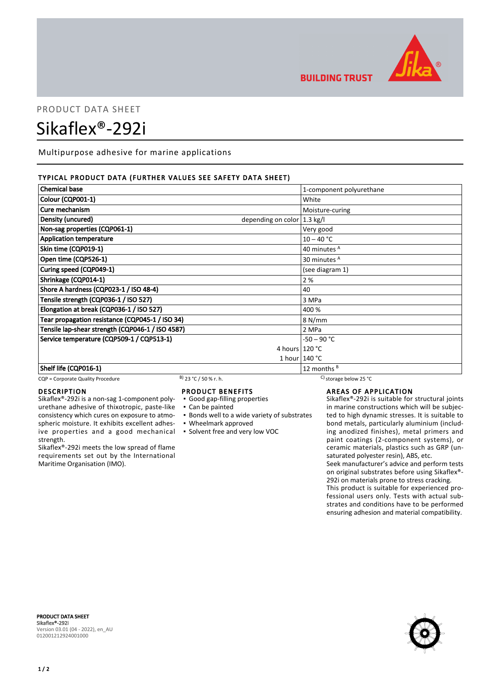

**BUILDING TRUST** 

# PRODUCT DATA SHEET Sikaflex®-292i

Multipurpose adhesive for marine applications

# TYPICAL PRODUCT DATA (FURTHER VALUES SEE SAFETY DATA SHEET)

| <b>Chemical base</b>                             | 1-component polyurethane               |
|--------------------------------------------------|----------------------------------------|
| Colour (CQP001-1)                                | White                                  |
| Cure mechanism                                   | Moisture-curing                        |
| Density (uncured)                                | depending on color $ 1.3 \text{ kg}/I$ |
| Non-sag properties (CQP061-1)                    | Very good                              |
| <b>Application temperature</b>                   | $10 - 40 °C$                           |
| Skin time (CQP019-1)                             | 40 minutes <sup>A</sup>                |
| Open time (CQP526-1)                             | 30 minutes <sup>A</sup>                |
| Curing speed (CQP049-1)                          | (see diagram 1)                        |
| Shrinkage (CQP014-1)                             | 2%                                     |
| Shore A hardness (CQP023-1 / ISO 48-4)           | 40                                     |
| Tensile strength (CQP036-1 / ISO 527)            | 3 MPa                                  |
| Elongation at break (CQP036-1 / ISO 527)         | 400 %                                  |
| Tear propagation resistance (CQP045-1 / ISO 34)  | 8 N/mm                                 |
| Tensile lap-shear strength (CQP046-1 / ISO 4587) | 2 MPa                                  |
| Service temperature (CQP509-1 / CQP513-1)        | $-50 - 90 °C$                          |
|                                                  | 4 hours $120 °C$                       |
|                                                  | 1 hour $140 °C$                        |
| Shelf life (CQP016-1)                            | 12 months $B$                          |

#### CQP = Corporate Quality Procedure B) 23 °C / 50 % r. h. C) storage below 25 °C

### DESCRIPTION

Sikaflex®-292i is a non-sag 1-component polyurethane adhesive of thixotropic, paste-like consistency which cures on exposure to atmospheric moisture. It exhibits excellent adhesive properties and a good mechanical strength.

Sikaflex®-292i meets the low spread of flame requirements set out by the International Maritime Organisation (IMO).

# PRODUCT BENEFITS

- Good gap-filling properties
- Can be painted
- **.** Bonds well to a wide variety of substrates
- Wheelmark approved
- Solvent free and very low VOC

# AREAS OF APPLICATION

Sikaflex®-292i is suitable for structural joints in marine constructions which will be subjected to high dynamic stresses. It is suitable to bond metals, particularly aluminium (including anodized finishes), metal primers and paint coatings (2-component systems), or ceramic materials, plastics such as GRP (unsaturated polyester resin), ABS, etc. Seek manufacturer's advice and perform tests on original substrates before using Sikaflex®- 292i on materials prone to stress cracking. This product is suitable for experienced professional users only. Tests with actual sub-

strates and conditions have to be performed ensuring adhesion and material compatibility.

PRODUCT DATA SHEET Sikaflex®-292i Version 03.01 (04 - 2022), en\_AU 012001212924001000